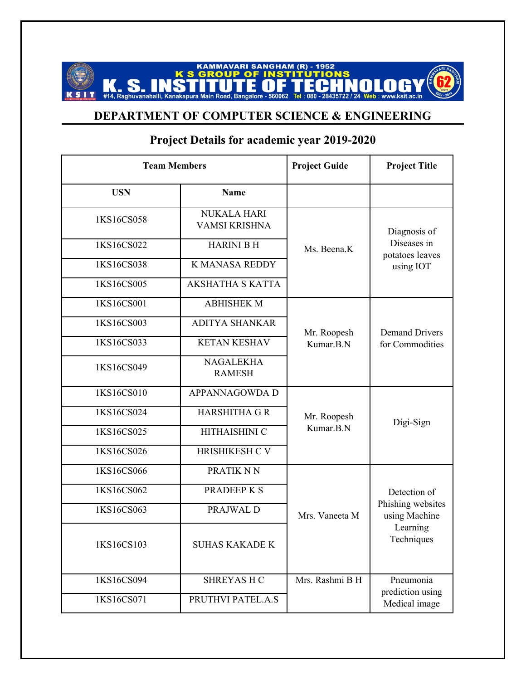## **KAMMAVARI SANGHAM (R) - 1952<br>GROUP OF INSTITUTIONS K S K. S. INSTITUTE OF** Tel: 080 - 28435722 NALAGY  $\blacksquare$ www.ksit.ac.in

## **DEPARTMENT OF COMPUTER SCIENCE & ENGINEERING**

|            | <b>Team Members</b>                        | <b>Project Guide</b>     | <b>Project Title</b>               |
|------------|--------------------------------------------|--------------------------|------------------------------------|
| <b>USN</b> | <b>Name</b>                                |                          |                                    |
| 1KS16CS058 | <b>NUKALA HARI</b><br><b>VAMSI KRISHNA</b> |                          | Diagnosis of                       |
| 1KS16CS022 | <b>HARINI B H</b>                          | Ms. Beena.K              | Diseases in<br>potatoes leaves     |
| 1KS16CS038 | <b>K MANASA REDDY</b>                      |                          | using IOT                          |
| 1KS16CS005 | <b>AKSHATHA S KATTA</b>                    |                          |                                    |
| 1KS16CS001 | <b>ABHISHEK M</b>                          |                          |                                    |
| 1KS16CS003 | <b>ADITYA SHANKAR</b>                      |                          | <b>Demand Drivers</b>              |
| 1KS16CS033 | <b>KETAN KESHAV</b>                        | Mr. Roopesh<br>Kumar.B.N | for Commodities                    |
| 1KS16CS049 | <b>NAGALEKHA</b><br><b>RAMESH</b>          |                          |                                    |
| 1KS16CS010 | APPANNAGOWDA D                             |                          |                                    |
| 1KS16CS024 | <b>HARSHITHA GR</b>                        | Mr. Roopesh              |                                    |
| 1KS16CS025 | HITHAISHINI C                              | Kumar.B.N                | Digi-Sign                          |
| 1KS16CS026 | HRISHIKESH CV                              |                          |                                    |
| 1KS16CS066 | PRATIK NN                                  |                          |                                    |
| 1KS16CS062 | <b>PRADEEP K S</b>                         |                          | Detection of                       |
| 1KS16CS063 | PRAJWAL D                                  | Mrs. Vaneeta M           | Phishing websites<br>using Machine |
| 1KS16CS103 | <b>SUHAS KAKADE K</b>                      |                          | Learning<br>Techniques             |
| 1KS16CS094 | <b>SHREYAS H C</b>                         | Mrs. Rashmi B H          | Pneumonia                          |
| 1KS16CS071 | PRUTHVI PATEL.A.S                          |                          | prediction using<br>Medical image  |

## **Project Details for academic year 2019-2020**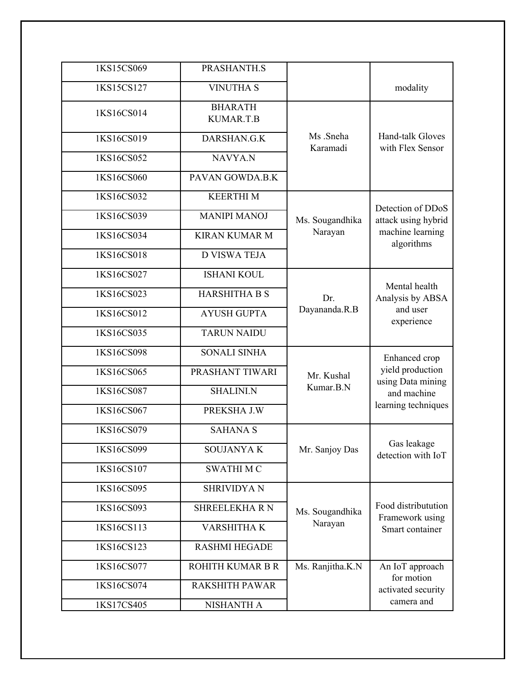| 1KS15CS069 | PRASHANTH.S                 |                            |                                                                             |
|------------|-----------------------------|----------------------------|-----------------------------------------------------------------------------|
| 1KS15CS127 | <b>VINUTHA S</b>            |                            | modality                                                                    |
| 1KS16CS014 | <b>BHARATH</b><br>KUMAR.T.B | Ms .Sneha<br>Karamadi      | Hand-talk Gloves<br>with Flex Sensor                                        |
| 1KS16CS019 | DARSHAN.G.K                 |                            |                                                                             |
| 1KS16CS052 | NAVYA.N                     |                            |                                                                             |
| 1KS16CS060 | PAVAN GOWDA.B.K             |                            |                                                                             |
| 1KS16CS032 | <b>KEERTHIM</b>             |                            |                                                                             |
| 1KS16CS039 | <b>MANIPI MANOJ</b>         | Ms. Sougandhika            | Detection of DDoS<br>attack using hybrid<br>machine learning<br>algorithms  |
| 1KS16CS034 | <b>KIRAN KUMAR M</b>        | Narayan                    |                                                                             |
| 1KS16CS018 | <b>D VISWA TEJA</b>         |                            |                                                                             |
| 1KS16CS027 | <b>ISHANI KOUL</b>          |                            | Mental health                                                               |
| 1KS16CS023 | <b>HARSHITHA B S</b>        | Dr.                        | Analysis by ABSA<br>and user<br>experience                                  |
| 1KS16CS012 | <b>AYUSH GUPTA</b>          | Dayananda.R.B              |                                                                             |
| 1KS16CS035 | <b>TARUN NAIDU</b>          |                            |                                                                             |
| 1KS16CS098 | <b>SONALI SINHA</b>         |                            | Enhanced crop                                                               |
| 1KS16CS065 | PRASHANT TIWARI             | Mr. Kushal<br>Kumar.B.N    | yield production<br>using Data mining<br>and machine<br>learning techniques |
| 1KS16CS087 | <b>SHALINI.N</b>            |                            |                                                                             |
| 1KS16CS067 | PREKSHA J.W                 |                            |                                                                             |
| 1KS16CS079 | <b>SAHANA S</b>             |                            |                                                                             |
| 1KS16CS099 | <b>SOUJANYAK</b>            | Mr. Sanjoy Das             | Gas leakage<br>detection with IoT                                           |
| 1KS16CS107 | <b>SWATHIMC</b>             |                            |                                                                             |
| 1KS16CS095 | <b>SHRIVIDYA N</b>          |                            |                                                                             |
| 1KS16CS093 | <b>SHREELEKHARN</b>         | Ms. Sougandhika<br>Narayan | Food distributution<br>Framework using<br>Smart container                   |
| 1KS16CS113 | <b>VARSHITHAK</b>           |                            |                                                                             |
| 1KS16CS123 | <b>RASHMI HEGADE</b>        |                            |                                                                             |
| 1KS16CS077 | ROHITH KUMAR B R            | Ms. Ranjitha.K.N           | An IoT approach<br>for motion                                               |
| 1KS16CS074 | <b>RAKSHITH PAWAR</b>       |                            | activated security                                                          |
| 1KS17CS405 | NISHANTH A                  |                            | camera and                                                                  |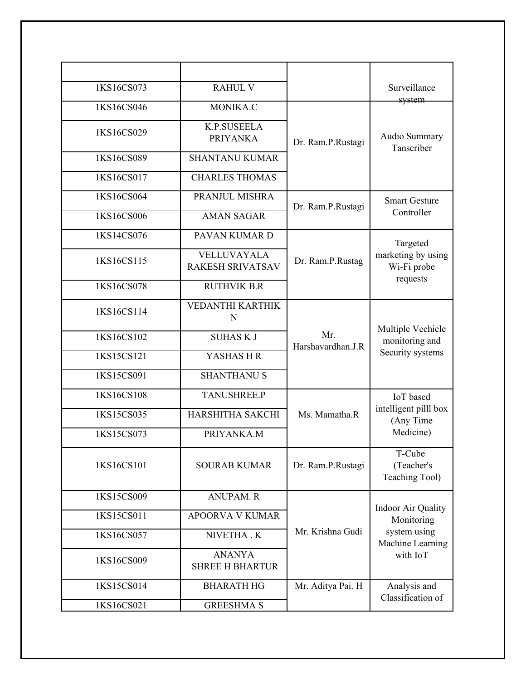| 1KS16CS073 | <b>RAHUL V</b>                                |                          | Surveillance                                                                     |
|------------|-----------------------------------------------|--------------------------|----------------------------------------------------------------------------------|
| 1KS16CS046 | MONIKA.C                                      | Dr. Ram.P.Rustagi        | system<br>Audio Summary<br>Tanscriber                                            |
| 1KS16CS029 | <b>K.P.SUSEELA</b><br><b>PRIYANKA</b>         |                          |                                                                                  |
| 1KS16CS089 | <b>SHANTANU KUMAR</b>                         |                          |                                                                                  |
| 1KS16CS017 | <b>CHARLES THOMAS</b>                         |                          |                                                                                  |
| 1KS16CS064 | PRANJUL MISHRA                                | Dr. Ram.P.Rustagi        | <b>Smart Gesture</b><br>Controller                                               |
| 1KS16CS006 | <b>AMAN SAGAR</b>                             |                          |                                                                                  |
| 1KS14CS076 | PAVAN KUMAR D                                 | Dr. Ram.P.Rustag         | Targeted<br>marketing by using<br>Wi-Fi probe<br>requests                        |
| 1KS16CS115 | <b>VELLUVAYALA</b><br><b>RAKESH SRIVATSAV</b> |                          |                                                                                  |
| 1KS16CS078 | <b>RUTHVIK B.R</b>                            |                          |                                                                                  |
| 1KS16CS114 | <b>VEDANTHI KARTHIK</b><br>N                  | Mr.<br>Harshavardhan.J.R | Multiple Vechicle<br>monitoring and<br>Security systems                          |
| 1KS16CS102 | <b>SUHASKJ</b>                                |                          |                                                                                  |
| 1KS15CS121 | YASHAS HR                                     |                          |                                                                                  |
| 1KS15CS091 | <b>SHANTHANU S</b>                            |                          |                                                                                  |
| 1KS16CS108 | <b>TANUSHREE.P</b>                            |                          | <b>IoT</b> based<br>intelligent pilll box<br>(Any Time<br>Medicine)              |
| 1KS15CS035 | HARSHITHA SAKCHI                              | Ms. Mamatha.R            |                                                                                  |
| 1KS15CS073 | PRIYANKA.M                                    |                          |                                                                                  |
| 1KS16CS101 | <b>SOURAB KUMAR</b>                           | Dr. Ram.P.Rustagi        | T-Cube<br>(Teacher's<br>Teaching Tool)                                           |
| 1KS15CS009 | <b>ANUPAM.R</b>                               | Mr. Krishna Gudi         | Indoor Air Quality<br>Monitoring<br>system using<br>Machine Learning<br>with IoT |
| 1KS15CS011 | <b>APOORVA V KUMAR</b>                        |                          |                                                                                  |
| 1KS16CS057 | NIVETHA . K                                   |                          |                                                                                  |
| 1KS16CS009 | <b>ANANYA</b><br><b>SHREE H BHARTUR</b>       |                          |                                                                                  |
| 1KS15CS014 | <b>BHARATH HG</b>                             | Mr. Aditya Pai. H        | Analysis and<br>Classification of                                                |
| 1KS16CS021 | <b>GREESHMA S</b>                             |                          |                                                                                  |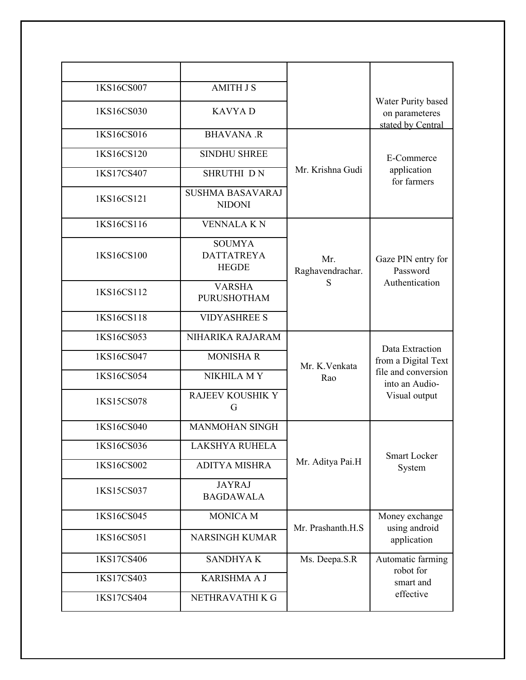| 1KS16CS007 | <b>AMITH J S</b>                                   |                         |                                                           |
|------------|----------------------------------------------------|-------------------------|-----------------------------------------------------------|
| 1KS16CS030 | <b>KAVYAD</b>                                      |                         | Water Purity based<br>on parameteres<br>stated by Central |
| 1KS16CS016 | <b>BHAVANA .R</b>                                  |                         |                                                           |
| 1KS16CS120 | <b>SINDHU SHREE</b>                                | Mr. Krishna Gudi        | E-Commerce                                                |
| 1KS17CS407 | SHRUTHI DN                                         |                         | application<br>for farmers                                |
| 1KS16CS121 | <b>SUSHMA BASAVARAJ</b><br><b>NIDONI</b>           |                         |                                                           |
| 1KS16CS116 | <b>VENNALA KN</b>                                  |                         |                                                           |
| 1KS16CS100 | <b>SOUMYA</b><br><b>DATTATREYA</b><br><b>HEGDE</b> | Mr.<br>Raghavendrachar. | Gaze PIN entry for<br>Password                            |
| 1KS16CS112 | <b>VARSHA</b><br><b>PURUSHOTHAM</b>                | S                       | Authentication                                            |
| 1KS16CS118 | <b>VIDYASHREE S</b>                                |                         |                                                           |
| 1KS16CS053 | NIHARIKA RAJARAM                                   |                         | Data Extraction                                           |
| 1KS16CS047 | <b>MONISHA R</b>                                   | Mr. K. Venkata          | from a Digital Text                                       |
| 1KS16CS054 | NIKHILA MY                                         | Rao                     | file and conversion<br>into an Audio-                     |
| 1KS15CS078 | <b>RAJEEV KOUSHIK Y</b><br>G                       |                         | Visual output                                             |
| 1KS16CS040 | <b>MANMOHAN SINGH</b>                              |                         |                                                           |
| 1KS16CS036 | <b>LAKSHYA RUHELA</b>                              |                         | <b>Smart Locker</b>                                       |
| 1KS16CS002 | <b>ADITYA MISHRA</b>                               | Mr. Aditya Pai.H        | System                                                    |
| 1KS15CS037 | <b>JAYRAJ</b><br><b>BAGDAWALA</b>                  |                         |                                                           |
| 1KS16CS045 | <b>MONICA M</b>                                    | Mr. Prashanth.H.S       | Money exchange<br>using android                           |
| 1KS16CS051 | <b>NARSINGH KUMAR</b>                              |                         | application                                               |
| 1KS17CS406 | <b>SANDHYAK</b>                                    | Ms. Deepa.S.R           | Automatic farming<br>robot for                            |
| 1KS17CS403 | KARISHMA A J                                       |                         | smart and                                                 |
| 1KS17CS404 | NETHRAVATHI K G                                    |                         | effective                                                 |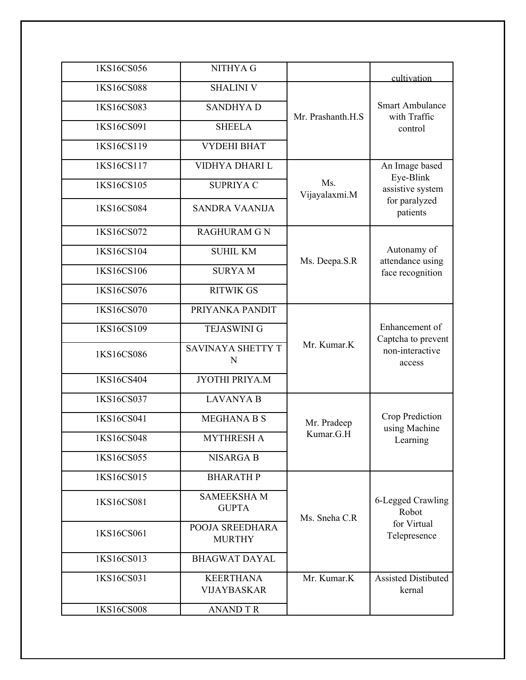| 1KS16CS056 | NITHYA G                               |                      | cultivation                                                       |
|------------|----------------------------------------|----------------------|-------------------------------------------------------------------|
| 1KS16CS088 | <b>SHALINI V</b>                       | Mr. Prashanth.H.S    |                                                                   |
| 1KS16CS083 | <b>SANDHYAD</b>                        |                      | <b>Smart Ambulance</b><br>with Traffic                            |
| 1KS16CS091 | <b>SHEELA</b>                          |                      | control                                                           |
| 1KS16CS119 | <b>VYDEHI BHAT</b>                     |                      |                                                                   |
| 1KS16CS117 | VIDHYA DHARI L                         |                      | An Image based                                                    |
| 1KS16CS105 | <b>SUPRIYA C</b>                       | Ms.<br>Vijayalaxmi.M | Eye-Blink<br>assistive system<br>for paralyzed<br>patients        |
| 1KS16CS084 | <b>SANDRA VAANIJA</b>                  |                      |                                                                   |
| 1KS16CS072 | <b>RAGHURAM G N</b>                    |                      |                                                                   |
| 1KS16CS104 | <b>SUHIL KM</b>                        |                      | Autonamy of<br>attendance using<br>face recognition               |
| 1KS16CS106 | <b>SURYAM</b>                          | Ms. Deepa.S.R        |                                                                   |
| 1KS16CS076 | <b>RITWIK GS</b>                       |                      |                                                                   |
| 1KS16CS070 | PRIYANKA PANDIT                        |                      |                                                                   |
| 1KS16CS109 | <b>TEJASWINI G</b>                     | Mr. Kumar.K          | Enhancement of<br>Captcha to prevent<br>non-interactive<br>access |
| 1KS16CS086 | SAVINAYA SHETTY T<br>N                 |                      |                                                                   |
| 1KS16CS404 | JYOTHI PRIYA.M                         |                      |                                                                   |
| 1KS16CS037 | <b>LAVANYA B</b>                       |                      |                                                                   |
| 1KS16CS041 | <b>MEGHANA B S</b>                     | Mr. Pradeep          | Crop Prediction<br>using Machine<br>Learning                      |
| 1KS16CS048 | <b>MYTHRESH A</b>                      | Kumar.G.H            |                                                                   |
| 1KS16CS055 | <b>NISARGA B</b>                       |                      |                                                                   |
| 1KS16CS015 | <b>BHARATH P</b>                       |                      |                                                                   |
| 1KS16CS081 | <b>SAMEEKSHAM</b><br><b>GUPTA</b>      | Ms. Sneha C.R        | 6-Legged Crawling<br>Robot                                        |
| 1KS16CS061 | POOJA SREEDHARA<br><b>MURTHY</b>       |                      | for Virtual<br>Telepresence                                       |
| 1KS16CS013 | <b>BHAGWAT DAYAL</b>                   |                      |                                                                   |
| 1KS16CS031 | <b>KEERTHANA</b><br><b>VIJAYBASKAR</b> | Mr. Kumar.K          | <b>Assisted Distibuted</b><br>kernal                              |
| 1KS16CS008 | <b>ANAND T R</b>                       |                      |                                                                   |